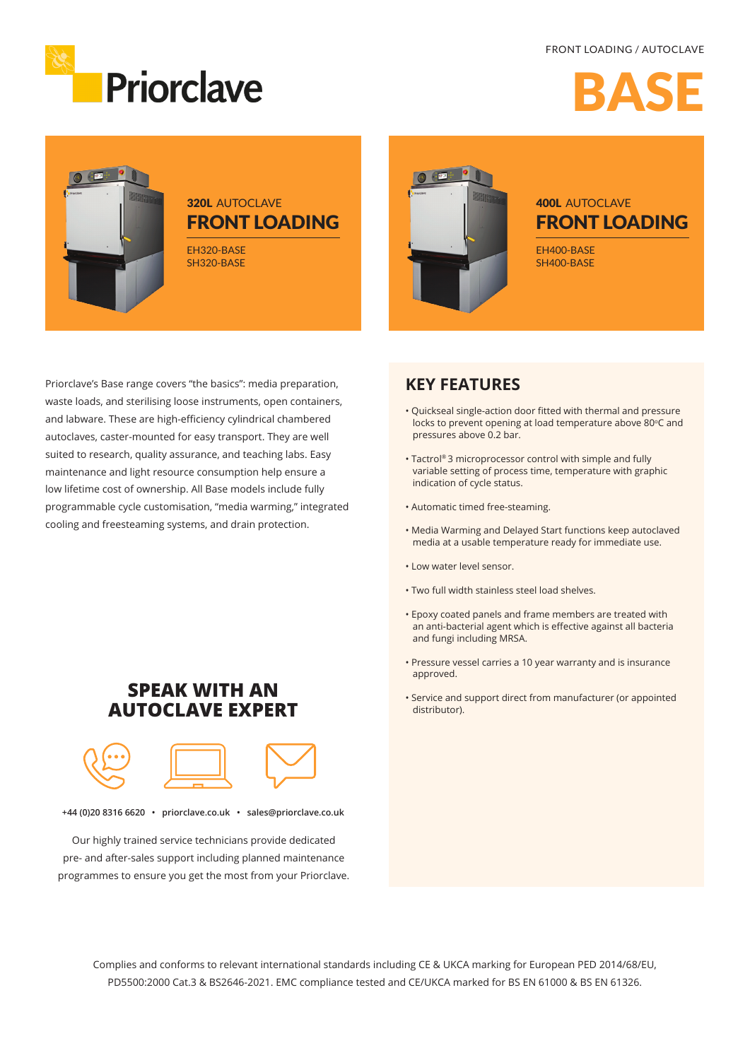#### FRONT LOADING / AUTOCLAVE



BASE



### **320L AUTOCLAVE** FRONT LOADING

EH320-BASE SH320-BASE



## **400L AUTOCLAVE** FRONT LOADING

EH400-BASE SH400-BASE

Priorclave's Base range covers "the basics": media preparation, waste loads, and sterilising loose instruments, open containers, and labware. These are high-efficiency cylindrical chambered autoclaves, caster-mounted for easy transport. They are well suited to research, quality assurance, and teaching labs. Easy maintenance and light resource consumption help ensure a low lifetime cost of ownership. All Base models include fully programmable cycle customisation, "media warming," integrated cooling and freesteaming systems, and drain protection.

#### **KEY FEATURES**

- Quickseal single-action door fitted with thermal and pressure locks to prevent opening at load temperature above 80°C and pressures above 0.2 bar.
- Tactrol® 3 microprocessor control with simple and fully variable setting of process time, temperature with graphic indication of cycle status.
- Automatic timed free-steaming.
- Media Warming and Delayed Start functions keep autoclaved media at a usable temperature ready for immediate use.
- Low water level sensor.
- Two full width stainless steel load shelves.
- Epoxy coated panels and frame members are treated with an anti-bacterial agent which is effective against all bacteria and fungi including MRSA.
- Pressure vessel carries a 10 year warranty and is insurance approved.
- Service and support direct from manufacturer (or appointed distributor).

### **SPEAK WITH AN AUTOCLAVE EXPERT**



**+44 (0)20 8316 6620 • priorclave.co.uk • sales@priorclave.co.uk**

Our highly trained service technicians provide dedicated pre- and after-sales support including planned maintenance programmes to ensure you get the most from your Priorclave.

> Complies and conforms to relevant international standards including CE & UKCA marking for European PED 2014/68/EU, PD5500:2000 Cat.3 & BS2646-2021. EMC compliance tested and CE/UKCA marked for BS EN 61000 & BS EN 61326.